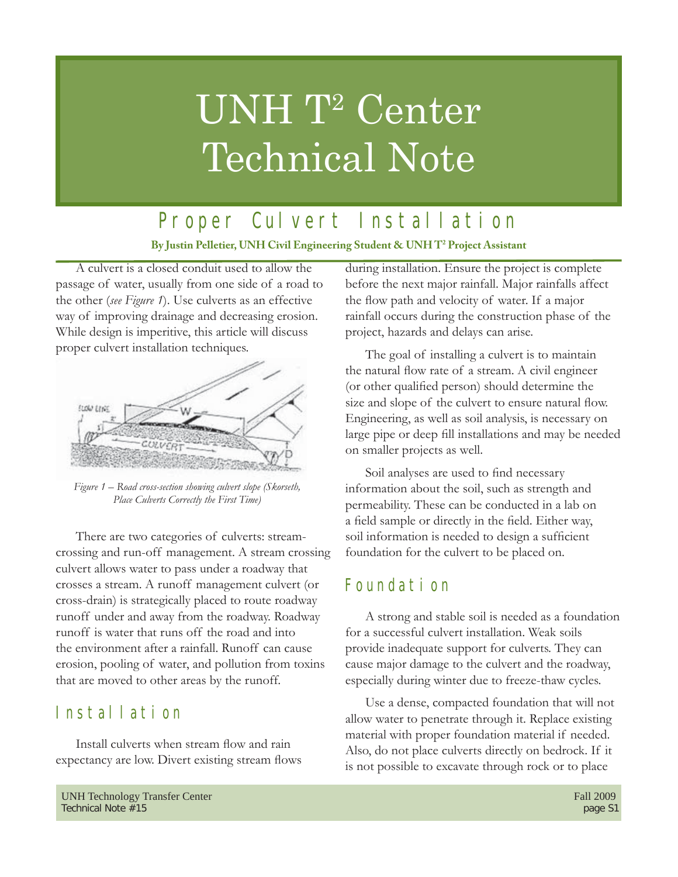# UNH T<sup>2</sup> Center Technical Note

Proper Culvert Installation

**By Justin Pelletier, UNH Civil Engineering Student & UNH T2 Project Assistant**

A culvert is a closed conduit used to allow the passage of water, usually from one side of a road to the other (*see Figure 1*). Use culverts as an effective way of improving drainage and decreasing erosion. While design is imperitive, this article will discuss proper culvert installation techniques.



*Figure 1 – Road cross-section showing culvert slope (Skorseth, Place Culverts Correctly the First Time)*

There are two categories of culverts: streamcrossing and run-off management. A stream crossing culvert allows water to pass under a roadway that crosses a stream. A runoff management culvert (or cross-drain) is strategically placed to route roadway runoff under and away from the roadway. Roadway runoff is water that runs off the road and into the environment after a rainfall. Runoff can cause erosion, pooling of water, and pollution from toxins that are moved to other areas by the runoff.

# Installation

Install culverts when stream flow and rain expectancy are low. Divert existing stream flows during installation. Ensure the project is complete before the next major rainfall. Major rainfalls affect the flow path and velocity of water. If a major rainfall occurs during the construction phase of the project, hazards and delays can arise.

The goal of installing a culvert is to maintain the natural flow rate of a stream. A civil engineer (or other qualified person) should determine the size and slope of the culvert to ensure natural flow. Engineering, as well as soil analysis, is necessary on large pipe or deep fill installations and may be needed on smaller projects as well.

Soil analyses are used to find necessary information about the soil, such as strength and permeability. These can be conducted in a lab on a field sample or directly in the field. Either way, soil information is needed to design a sufficient foundation for the culvert to be placed on.

# Foundation

A strong and stable soil is needed as a foundation for a successful culvert installation. Weak soils provide inadequate support for culverts. They can cause major damage to the culvert and the roadway, especially during winter due to freeze-thaw cycles.

Use a dense, compacted foundation that will not allow water to penetrate through it. Replace existing material with proper foundation material if needed. Also, do not place culverts directly on bedrock. If it is not possible to excavate through rock or to place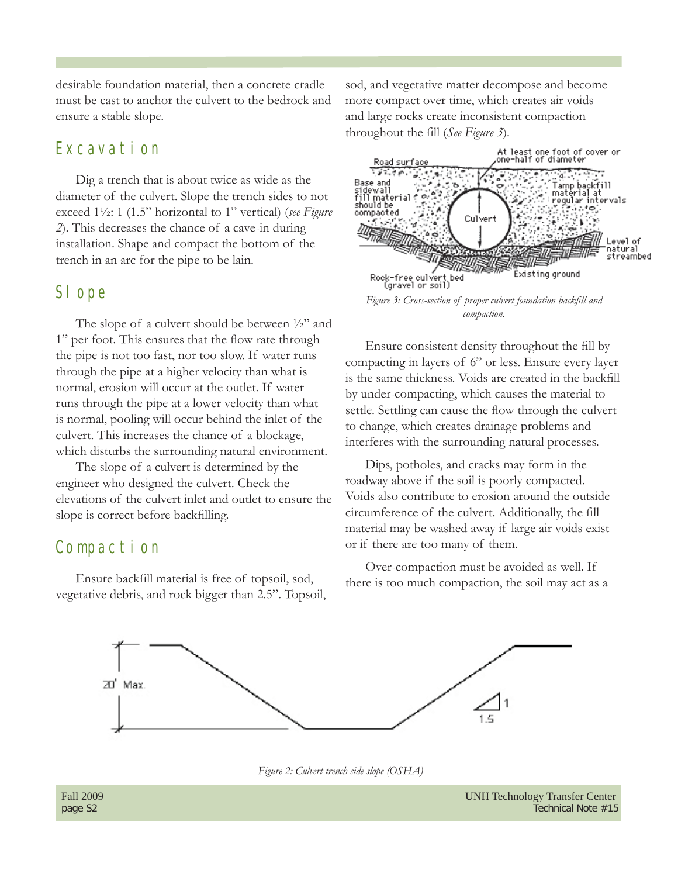desirable foundation material, then a concrete cradle must be cast to anchor the culvert to the bedrock and ensure a stable slope.

#### Excavation

Dig a trench that is about twice as wide as the diameter of the culvert. Slope the trench sides to not exceed 1½: 1 (1.5" horizontal to 1" vertical) (*see Figure 2*). This decreases the chance of a cave-in during installation. Shape and compact the bottom of the trench in an arc for the pipe to be lain.

#### SI ope

The slope of a culvert should be between  $\frac{1}{2}$  and 1" per foot. This ensures that the flow rate through the pipe is not too fast, nor too slow. If water runs through the pipe at a higher velocity than what is normal, erosion will occur at the outlet. If water runs through the pipe at a lower velocity than what is normal, pooling will occur behind the inlet of the culvert. This increases the chance of a blockage, which disturbs the surrounding natural environment.

The slope of a culvert is determined by the engineer who designed the culvert. Check the elevations of the culvert inlet and outlet to ensure the slope is correct before backfilling.

### Compaction

Ensure backfill material is free of topsoil, sod, vegetative debris, and rock bigger than 2.5". Topsoil, sod, and vegetative matter decompose and become more compact over time, which creates air voids and large rocks create inconsistent compaction throughout the fill (*See Figure 3*).



*compaction.*

Ensure consistent density throughout the fill by compacting in layers of 6" or less. Ensure every layer is the same thickness. Voids are created in the backfill by under-compacting, which causes the material to settle. Settling can cause the flow through the culvert to change, which creates drainage problems and interferes with the surrounding natural processes.

Dips, potholes, and cracks may form in the roadway above if the soil is poorly compacted. Voids also contribute to erosion around the outside circumference of the culvert. Additionally, the fill material may be washed away if large air voids exist or if there are too many of them.

Over-compaction must be avoided as well. If there is too much compaction, the soil may act as a





Fall 2009 UNH Technology Transfer Center page S2 Technical Note #15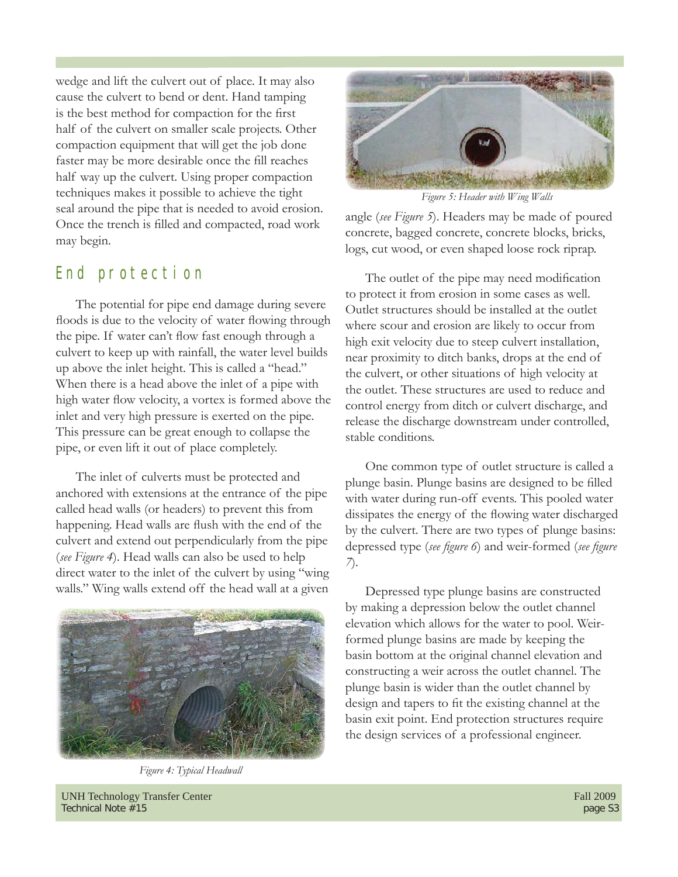wedge and lift the culvert out of place. It may also cause the culvert to bend or dent. Hand tamping is the best method for compaction for the first half of the culvert on smaller scale projects. Other compaction equipment that will get the job done faster may be more desirable once the fill reaches half way up the culvert. Using proper compaction techniques makes it possible to achieve the tight seal around the pipe that is needed to avoid erosion. Once the trench is filled and compacted, road work may begin.

### End protection

The potential for pipe end damage during severe floods is due to the velocity of water flowing through the pipe. If water can't flow fast enough through a culvert to keep up with rainfall, the water level builds up above the inlet height. This is called a "head." When there is a head above the inlet of a pipe with high water flow velocity, a vortex is formed above the inlet and very high pressure is exerted on the pipe. This pressure can be great enough to collapse the pipe, or even lift it out of place completely.

The inlet of culverts must be protected and anchored with extensions at the entrance of the pipe called head walls (or headers) to prevent this from happening. Head walls are flush with the end of the culvert and extend out perpendicularly from the pipe (*see Figure 4*). Head walls can also be used to help direct water to the inlet of the culvert by using "wing walls." Wing walls extend off the head wall at a given



*Figure 4: Typical Headwall*

*Figure 5: Header with Wing Walls*

angle (*see Figure 5*). Headers may be made of poured concrete, bagged concrete, concrete blocks, bricks, logs, cut wood, or even shaped loose rock riprap.

The outlet of the pipe may need modification to protect it from erosion in some cases as well. Outlet structures should be installed at the outlet where scour and erosion are likely to occur from high exit velocity due to steep culvert installation, near proximity to ditch banks, drops at the end of the culvert, or other situations of high velocity at the outlet. These structures are used to reduce and control energy from ditch or culvert discharge, and release the discharge downstream under controlled, stable conditions.

One common type of outlet structure is called a plunge basin. Plunge basins are designed to be filled with water during run-off events. This pooled water dissipates the energy of the flowing water discharged by the culvert. There are two types of plunge basins: depressed type (*see figure 6*) and weir-formed (*see figure 7*).

Depressed type plunge basins are constructed by making a depression below the outlet channel elevation which allows for the water to pool. Weirformed plunge basins are made by keeping the basin bottom at the original channel elevation and constructing a weir across the outlet channel. The plunge basin is wider than the outlet channel by design and tapers to fit the existing channel at the basin exit point. End protection structures require the design services of a professional engineer.